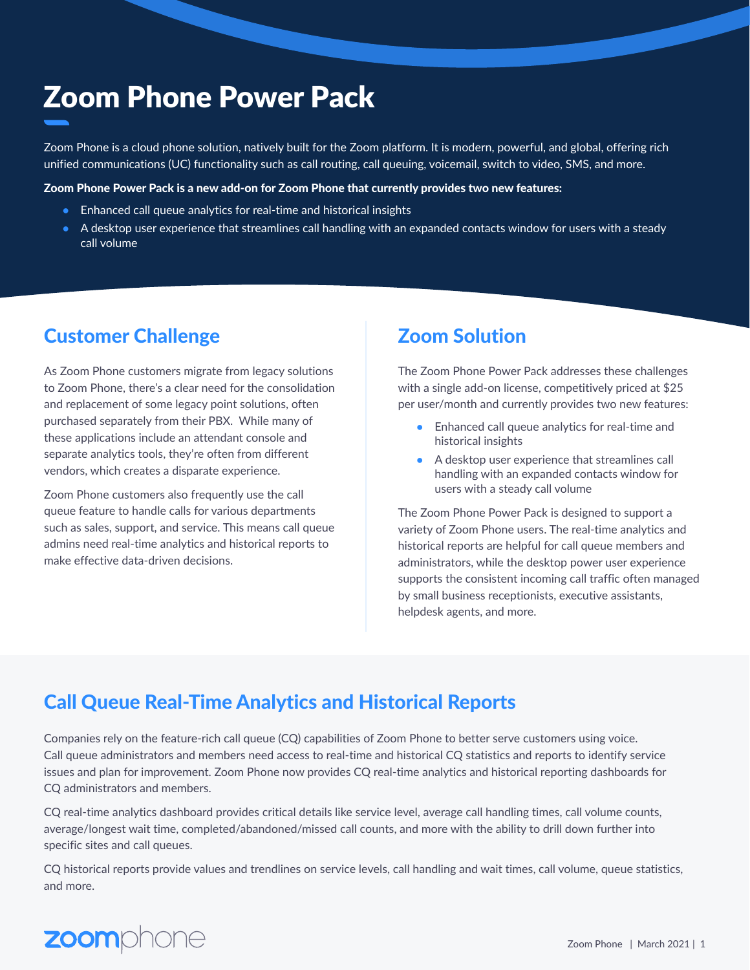# Zoom Phone Power Pack

Zoom Phone is a cloud phone solution, natively built for the Zoom platform. It is modern, powerful, and global, offering rich unified communications (UC) functionality such as call routing, call queuing, voicemail, switch to video, SMS, and more.

### Zoom Phone Power Pack is a new add-on for Zoom Phone that currently provides two new features:

- Enhanced call queue analytics for real-time and historical insights
- A desktop user experience that streamlines call handling with an expanded contacts window for users with a steady call volume

### **Customer Challenge Lating Common Solution**

As Zoom Phone customers migrate from legacy solutions to Zoom Phone, there's a clear need for the consolidation and replacement of some legacy point solutions, often purchased separately from their PBX. While many of these applications include an attendant console and separate analytics tools, they're often from different vendors, which creates a disparate experience.

Zoom Phone customers also frequently use the call queue feature to handle calls for various departments such as sales, support, and service. This means call queue admins need real-time analytics and historical reports to make effective data-driven decisions.

The Zoom Phone Power Pack addresses these challenges with a single add-on license, competitively priced at \$25 per user/month and currently provides two new features:

- Enhanced call queue analytics for real-time and historical insights
- A desktop user experience that streamlines call handling with an expanded contacts window for users with a steady call volume

The Zoom Phone Power Pack is designed to support a variety of Zoom Phone users. The real-time analytics and historical reports are helpful for call queue members and administrators, while the desktop power user experience supports the consistent incoming call traffic often managed by small business receptionists, executive assistants, helpdesk agents, and more.

## Call Queue Real-Time Analytics and Historical Reports

Companies rely on the feature-rich call queue (CQ) capabilities of Zoom Phone to better serve customers using voice. Call queue administrators and members need access to real-time and historical CQ statistics and reports to identify service issues and plan for improvement. Zoom Phone now provides CQ real-time analytics and historical reporting dashboards for CQ administrators and members.

CQ real-time analytics dashboard provides critical details like service level, average call handling times, call volume counts, average/longest wait time, completed/abandoned/missed call counts, and more with the ability to drill down further into specific sites and call queues.

CQ historical reports provide values and trendlines on service levels, call handling and wait times, call volume, queue statistics, and more.

# zoomphone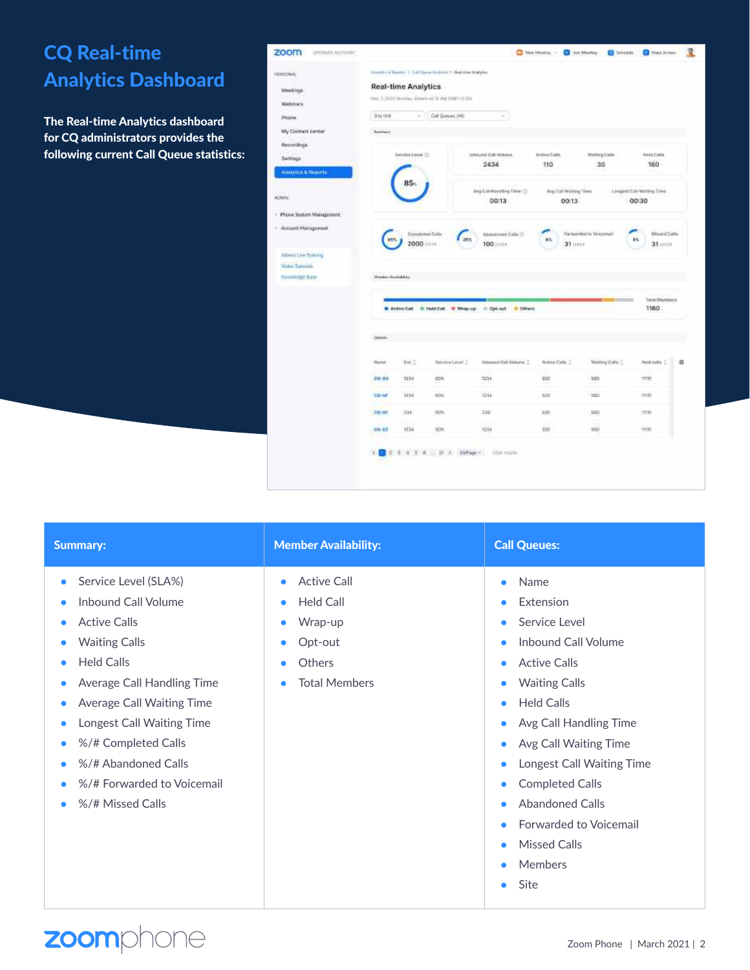## CQ Real-time Analytics Dashboard

The Real-time Analytics dashboard for CQ administrators provides the following current Call Queue statistics:

| zoom<br>OPENADE.AISI300NT                                                      |                                                 |                             |                                                          |                                       |                                | C NextNetty - C limitents C bindue   | <b>O</b> then bones               | 堰 |  |
|--------------------------------------------------------------------------------|-------------------------------------------------|-----------------------------|----------------------------------------------------------|---------------------------------------|--------------------------------|--------------------------------------|-----------------------------------|---|--|
| PERSONAL'                                                                      |                                                 |                             | Avento il Room - I Cat Gene Avalato - I Red time Malylan |                                       |                                |                                      |                                   |   |  |
| Meetings                                                                       | <b>Real-time Analytics</b>                      |                             |                                                          |                                       |                                |                                      |                                   |   |  |
| Webitters                                                                      | Our T, 2030 Humbar Heavie at 12 AM XXMT (2 (2)) |                             |                                                          |                                       |                                |                                      |                                   |   |  |
|                                                                                | Site (All)                                      | $\sim$                      | Call Queses (All)                                        | $\sim$                                |                                |                                      |                                   |   |  |
| Phone                                                                          |                                                 |                             |                                                          |                                       |                                |                                      |                                   |   |  |
| My Contact center                                                              |                                                 |                             |                                                          |                                       |                                |                                      |                                   |   |  |
| Recordings                                                                     |                                                 |                             |                                                          |                                       |                                |                                      |                                   |   |  |
| Settimas.                                                                      |                                                 | <b>Sentre Level (3)</b>     |                                                          | <b>Intervind Call Midures</b><br>2434 | Arrive Earls<br>110            | Wattoy Catle<br>30                   | Hote Catte<br>180                 |   |  |
| Analytics & Buscris                                                            |                                                 |                             |                                                          |                                       |                                |                                      |                                   |   |  |
| AttAins                                                                        |                                                 | 85.                         |                                                          | War Call Haroling Time C.<br>00:13    | Avg Call Watting Time<br>00:13 |                                      | Longest CAV Walling Sine<br>00:30 |   |  |
| Phone System Management<br>٠                                                   |                                                 |                             |                                                          |                                       |                                |                                      |                                   |   |  |
| Account Management<br>Attent Live Trailing<br>Weber Tuesdale<br>Hierodan Base: | Meridian dead and are                           | Completed Cate<br>2000 into | zis.                                                     | ADvantamed Cable (2)<br>100 pcm       | 辉玉                             | Forwardsal to Valcemia)<br>31 (1836) | Winsent Catto<br>RS.<br>31////33  |   |  |
|                                                                                |                                                 |                             |                                                          |                                       |                                |                                      |                                   |   |  |
|                                                                                |                                                 |                             |                                                          |                                       |                                |                                      | <b>Total Members</b>              |   |  |
|                                                                                |                                                 |                             | P Artine Call. 48 Hotel Call. 6 Wrig-Up                  | @ Opt-out<br><b>B</b> Others          |                                |                                      | 1160                              |   |  |
|                                                                                | Debuit                                          |                             |                                                          |                                       |                                |                                      |                                   |   |  |
|                                                                                | Named                                           | tive :                      | <b>Render Cover 2</b>                                    | minuted Call Volume 2                 | Autree Callo :                 | Waiting Cake                         | Hold calls 2                      | ۰ |  |
|                                                                                | DG-SH                                           | 1234                        | dos                                                      | 1224                                  | 500                            | 100                                  | mm                                |   |  |
|                                                                                | $00 - 10$ <sup>1</sup>                          | 1154                        | dos                                                      | 1234                                  | 500                            | 505                                  | TITTE                             |   |  |
|                                                                                | $CG - FF$                                       | 238                         | dD%                                                      | 338                                   | 550                            | 100                                  | TITT                              |   |  |
|                                                                                | 00-32                                           | 1754                        | 60%                                                      | 6234                                  | 500                            | 500                                  | $+1155$                           |   |  |
|                                                                                |                                                 |                             | 1 4 1 6 3 21 6 10 Page -                                 | Mitri Jesúle                          |                                |                                      |                                   |   |  |

| <b>Summary:</b>                         | <b>Member Availability:</b>       | <b>Call Queues:</b>                    |  |
|-----------------------------------------|-----------------------------------|----------------------------------------|--|
| Service Level (SLA%)<br>$\bullet$       | <b>Active Call</b><br>$\bullet$   | Name<br>$\bullet$                      |  |
| <b>Inbound Call Volume</b><br>۰         | <b>Held Call</b><br>$\bullet$     | Extension<br>$\bullet$                 |  |
| <b>Active Calls</b>                     | Wrap-up<br>۰                      | Service Level<br>$\bullet$             |  |
| <b>Waiting Calls</b><br>$\bullet$       | Opt-out<br>۰                      | <b>Inbound Call Volume</b><br>٠        |  |
| <b>Held Calls</b><br>$\bullet$          | <b>Others</b><br>$\bullet$        | <b>Active Calls</b><br>$\bullet$       |  |
| Average Call Handling Time<br>$\bullet$ | <b>Total Members</b><br>$\bullet$ | <b>Waiting Calls</b><br>٠              |  |
| Average Call Waiting Time<br>$\bullet$  |                                   | <b>Held Calls</b><br>$\bullet$         |  |
| Longest Call Waiting Time<br>۰          |                                   | Avg Call Handling Time<br>$\bullet$    |  |
| %/# Completed Calls<br>$\bullet$        |                                   | Avg Call Waiting Time<br>$\bullet$     |  |
| %/# Abandoned Calls<br>۰                |                                   | Longest Call Waiting Time<br>$\bullet$ |  |
| %/# Forwarded to Voicemail              |                                   | <b>Completed Calls</b><br>٠            |  |
| %/# Missed Calls                        |                                   | <b>Abandoned Calls</b><br>$\bullet$    |  |
|                                         |                                   | <b>Forwarded to Voicemail</b>          |  |
|                                         |                                   | <b>Missed Calls</b><br>٠               |  |
|                                         |                                   | <b>Members</b>                         |  |

zoomphone

### Zoom Phone | March 2021 | 2

● Site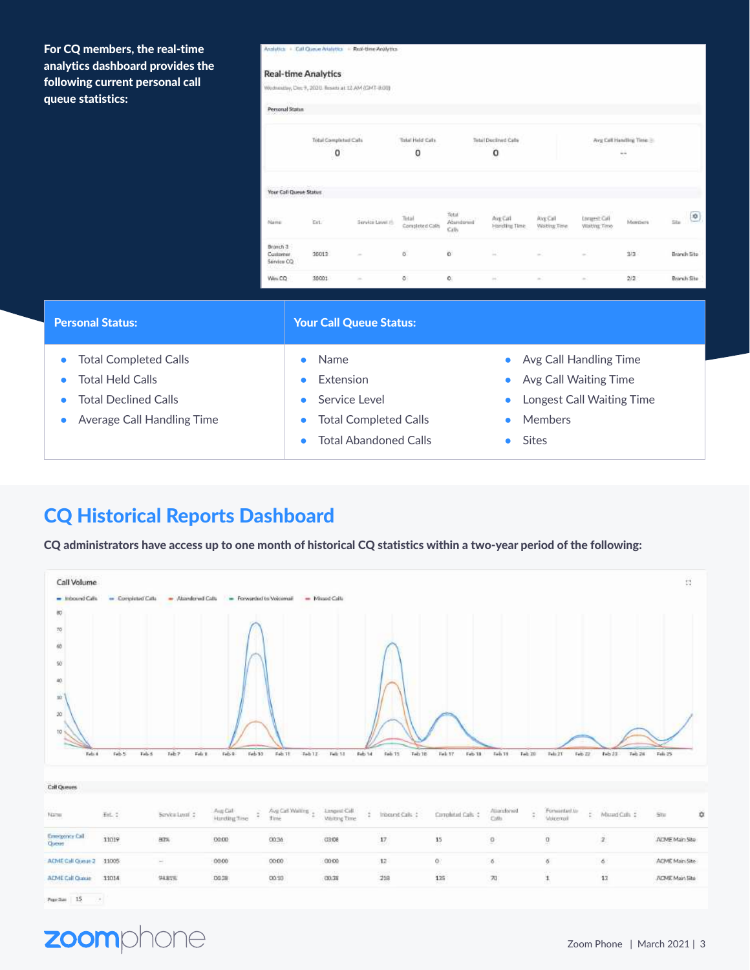For CQ members, the real-time analytics dashboard provides the following current personal call queue statistics:

#### - Cal Queue Aristytes - Real-time Analytics

#### **Real-time Analytics**

Wednesday, Dec 9, 2020. Reserval 12 AM (CIVIT-8.00)

| Personal Status                                               |                                                              |                   |                                          |                             |                          |                                               |                                                                     |         |                  |
|---------------------------------------------------------------|--------------------------------------------------------------|-------------------|------------------------------------------|-----------------------------|--------------------------|-----------------------------------------------|---------------------------------------------------------------------|---------|------------------|
|                                                               | the amplitude in the product of the<br>Total Completed Calls |                   | <b>HOS ROOT LAND</b><br>Total Held Calls |                             | Tetal Declined Cafe      |                                               | Avg Call Handling Time                                              |         |                  |
|                                                               | $\circ$                                                      |                   | 0                                        |                             | o                        |                                               |                                                                     | ä       |                  |
| A heat a brown product the advanced<br>Your Call Queue Status |                                                              |                   |                                          |                             |                          |                                               |                                                                     |         |                  |
| Name                                                          | Eri.                                                         | Service Level (5) | Tirtisl<br>Completed Calls               | Total<br>Abundanud<br>Calls | Aig Call<br>Harding Time | <b>DISTURBANCE</b><br>Avg Call<br>Withig Time | <b>Locured: Call</b><br>Watting Time                                | Members | $\bullet$<br>iis |
| Branch 3<br>Customer<br>Service CO                            | 30013                                                        | $\sim$            | $\hat{\mathbf{G}}$                       | ö                           | Ш                        | $\sim$                                        | $\frac{1}{2} \left( \frac{1}{2} \right) \left( \frac{1}{2} \right)$ | 3/3     | Branch Site      |
| Wes CO                                                        | 30001                                                        | $\sim$            | õ.                                       | о.                          | ×                        | $\frac{1}{2} \left( \frac{1}{2} \right)^2$    | $\frac{1}{2} \left( \frac{1}{2} \right)^2$                          | 2/2     | Branch Site      |

| <b>Personal Status:</b>      | <b>Your Call Queue Status:</b>            |                             |  |  |  |
|------------------------------|-------------------------------------------|-----------------------------|--|--|--|
| <b>Total Completed Calls</b> | Name<br>$\bullet$                         | • Avg Call Handling Time    |  |  |  |
| <b>Total Held Calls</b>      | Extension<br>$\bullet$                    | • Avg Call Waiting Time     |  |  |  |
| <b>Total Declined Calls</b>  | Service Level<br>$\bullet$                | • Longest Call Waiting Time |  |  |  |
| Average Call Handling Time   | <b>Total Completed Calls</b><br>$\bullet$ | <b>Members</b><br>$\bullet$ |  |  |  |
|                              | <b>Total Abandoned Calls</b><br>$\bullet$ | <b>Sites</b>                |  |  |  |

## CQ Historical Reports Dashboard

CQ administrators have access up to one month of historical CQ statistics within a two-year period of the following:



 $p_{\text{opt}}$  sec  $-15$ ò.

### zoom one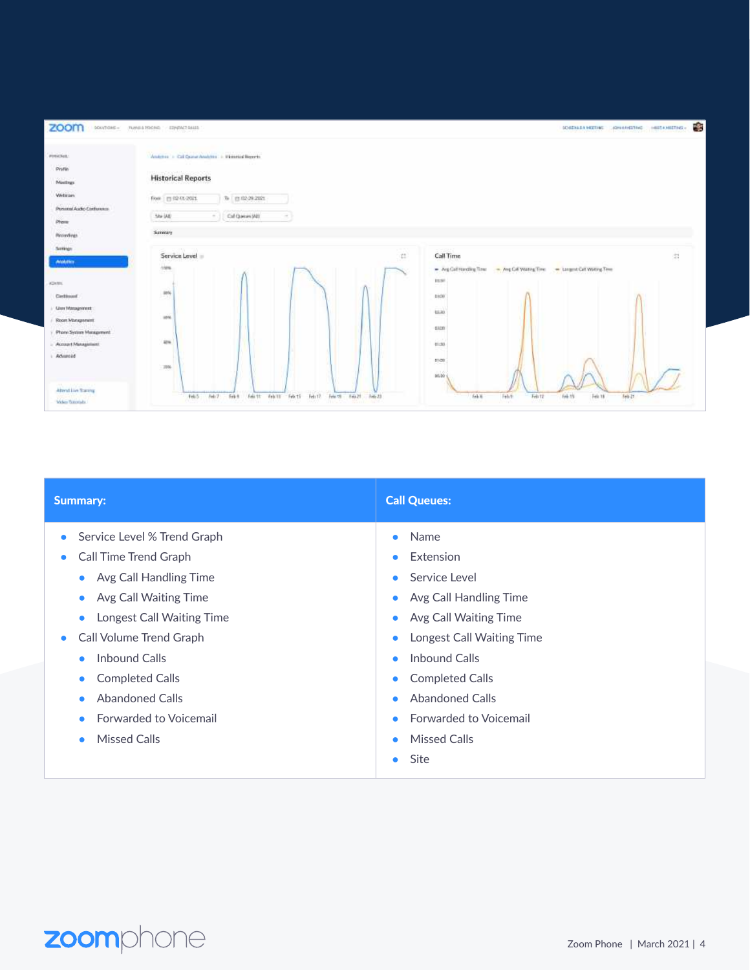

| <b>Summary:</b>             | <b>Call Queues:</b>           |
|-----------------------------|-------------------------------|
| Service Level % Trend Graph | Name                          |
| $\bullet$                   | $\bullet$                     |
| Call Time Trend Graph       | Extension                     |
| $\bullet$                   | $\bullet$                     |
| • Avg Call Handling Time    | Service Level<br>$\bullet$    |
| Avg Call Waiting Time       | Avg Call Handling Time        |
| $\bullet$                   | $\bullet$                     |
| Longest Call Waiting Time   | Avg Call Waiting Time         |
| $\bullet$                   | $\bullet$                     |
| Call Volume Trend Graph     | Longest Call Waiting Time     |
| $\bullet$                   | $\bullet$                     |
| <b>Inbound Calls</b>        | Inhound Calls                 |
| $\bullet$                   | $\bullet$                     |
| <b>Completed Calls</b>      | <b>Completed Calls</b>        |
| $\bullet$                   | $\bullet$                     |
| <b>Abandoned Calls</b>      | <b>Abandoned Calls</b>        |
| $\bullet$                   | $\bullet$                     |
| Forwarded to Voicemail      | <b>Forwarded to Voicemail</b> |
| $\bullet$                   | $\bullet$                     |
| <b>Missed Calls</b>         | <b>Missed Calls</b>           |
| $\bullet$                   | $\bullet$                     |
|                             | Site<br>$\bullet$             |

# zoomphone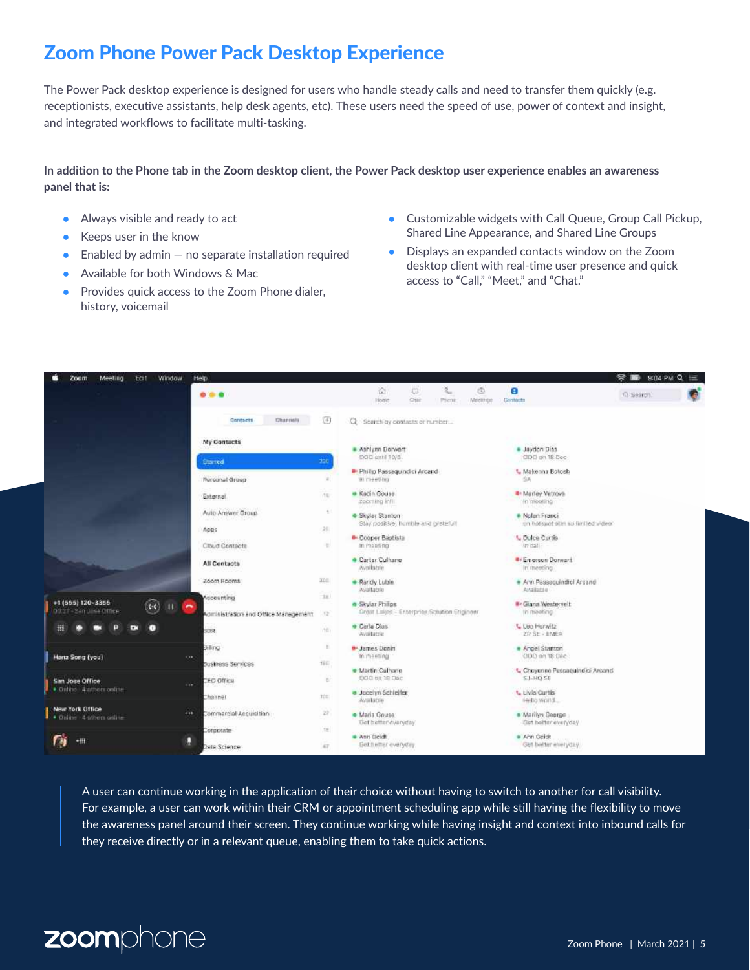## Zoom Phone Power Pack Desktop Experience

The Power Pack desktop experience is designed for users who handle steady calls and need to transfer them quickly (e.g. receptionists, executive assistants, help desk agents, etc). These users need the speed of use, power of context and insight, and integrated workflows to facilitate multi-tasking.

### **In addition to the Phone tab in the Zoom desktop client, the Power Pack desktop user experience enables an awareness panel that is:**

- Always visible and ready to act
- Keeps user in the know
- Enabled by admin  $-$  no separate installation required
- Available for both Windows & Mac
- Provides quick access to the Zoom Phone dialer, history, voicemail
- Customizable widgets with Call Queue, Group Call Pickup, Shared Line Appearance, and Shared Line Groups
- Displays an expanded contacts window on the Zoom desktop client with real-time user presence and quick access to "Call," "Meet," and "Chat."



A user can continue working in the application of their choice without having to switch to another for call visibility. For example, a user can work within their CRM or appointment scheduling app while still having the flexibility to move the awareness panel around their screen. They continue working while having insight and context into inbound calls for they receive directly or in a relevant queue, enabling them to take quick actions.

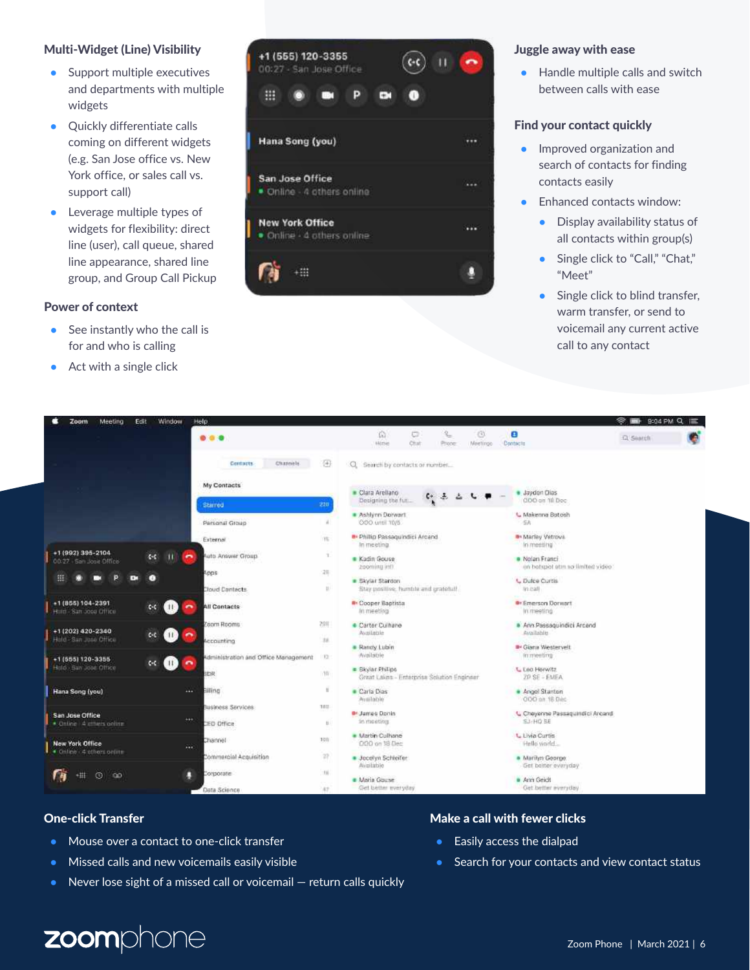### Multi-Widget (Line) Visibility

- Support multiple executives and departments with multiple widgets
- Quickly differentiate calls coming on different widgets (e.g. San Jose office vs. New York office, or sales call vs. support call)
- Leverage multiple types of widgets for flexibility: direct line (user), call queue, shared line appearance, shared line group, and Group Call Pickup

### Power of context

- $\bullet$  See instantly who the call is for and who is calling
- $\bullet$  Act with a single click



### Juggle away with ease

● Handle multiple calls and switch between calls with ease

### Find your contact quickly

- Improved organization and search of contacts for finding contacts easily
- Enhanced contacts window:
	- Display availability status of all contacts within group(s)
	- Single click to "Call," "Chat," "Meet"
	- Single click to blind transfer, warm transfer, or send to voicemail any current active call to any contact



- Mouse over a contact to one-click transfer
- Missed calls and new voicemails easily visible
- Never lose sight of a missed call or voicemail return calls quickly

### One-click Transfer Make a call with fewer clicks

- Easily access the dialpad
- Search for your contacts and view contact status

# zoomphone